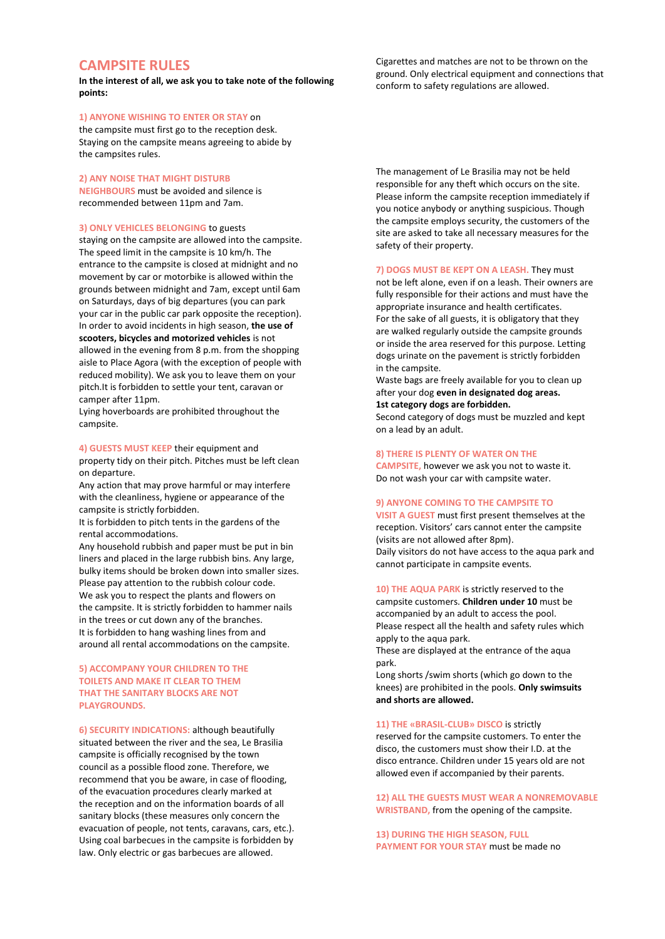# **CAMPSITE RULES**

**In the interest of all, we ask you to take note of the following points:**

## **1) ANYONE WISHING TO ENTER OR STAY** on

the campsite must first go to the reception desk. Staying on the campsite means agreeing to abide by the campsites rules.

## **2) ANY NOISE THAT MIGHT DISTURB**

**NEIGHBOURS** must be avoided and silence is recommended between 11pm and 7am.

#### **3) ONLY VEHICLES BELONGING** to guests

staying on the campsite are allowed into the campsite. The speed limit in the campsite is 10 km/h. The entrance to the campsite is closed at midnight and no movement by car or motorbike is allowed within the grounds between midnight and 7am, except until 6am on Saturdays, days of big departures (you can park your car in the public car park opposite the reception). In order to avoid incidents in high season, **the use of scooters, bicycles and motorized vehicles** is not allowed in the evening from 8 p.m. from the shopping aisle to Place Agora (with the exception of people with reduced mobility). We ask you to leave them on your pitch.It is forbidden to settle your tent, caravan or camper after 11pm.

Lying hoverboards are prohibited throughout the campsite.

**4) GUESTS MUST KEEP** their equipment and property tidy on their pitch. Pitches must be left clean on departure.

Any action that may prove harmful or may interfere with the cleanliness, hygiene or appearance of the campsite is strictly forbidden.

It is forbidden to pitch tents in the gardens of the rental accommodations.

Any household rubbish and paper must be put in bin liners and placed in the large rubbish bins. Any large, bulky items should be broken down into smaller sizes. Please pay attention to the rubbish colour code. We ask you to respect the plants and flowers on the campsite. It is strictly forbidden to hammer nails in the trees or cut down any of the branches. It is forbidden to hang washing lines from and around all rental accommodations on the campsite.

## **5) ACCOMPANY YOUR CHILDREN TO THE TOILETS AND MAKE IT CLEAR TO THEM THAT THE SANITARY BLOCKS ARE NOT PLAYGROUNDS.**

**6) SECURITY INDICATIONS:** although beautifully situated between the river and the sea, Le Brasilia campsite is officially recognised by the town council as a possible flood zone. Therefore, we recommend that you be aware, in case of flooding, of the evacuation procedures clearly marked at the reception and on the information boards of all sanitary blocks (these measures only concern the evacuation of people, not tents, caravans, cars, etc.). Using coal barbecues in the campsite is forbidden by law. Only electric or gas barbecues are allowed.

Cigarettes and matches are not to be thrown on the ground. Only electrical equipment and connections that conform to safety regulations are allowed.

The management of Le Brasilia may not be held responsible for any theft which occurs on the site. Please inform the campsite reception immediately if you notice anybody or anything suspicious. Though the campsite employs security, the customers of the site are asked to take all necessary measures for the safety of their property.

**7) DOGS MUST BE KEPT ON A LEASH.** They must not be left alone, even if on a leash. Their owners are fully responsible for their actions and must have the appropriate insurance and health certificates. For the sake of all guests, it is obligatory that they are walked regularly outside the campsite grounds or inside the area reserved for this purpose. Letting dogs urinate on the pavement is strictly forbidden in the campsite.

Waste bags are freely available for you to clean up after your dog **even in designated dog areas. 1st category dogs are forbidden.**

Second category of dogs must be muzzled and kept on a lead by an adult.

#### **8) THERE IS PLENTY OF WATER ON THE**

**CAMPSITE,** however we ask you not to waste it. Do not wash your car with campsite water.

#### **9) ANYONE COMING TO THE CAMPSITE TO**

**VISIT A GUEST** must first present themselves at the reception. Visitors' cars cannot enter the campsite (visits are not allowed after 8pm). Daily visitors do not have access to the aqua park and cannot participate in campsite events.

**10) THE AQUA PARK** is strictly reserved to the campsite customers. **Children under 10** must be accompanied by an adult to access the pool. Please respect all the health and safety rules which apply to the aqua park.

These are displayed at the entrance of the aqua park.

Long shorts /swim shorts (which go down to the knees) are prohibited in the pools. **Only swimsuits and shorts are allowed.**

#### **11) THE «BRASIL-CLUB» DISCO** is strictly

reserved for the campsite customers. To enter the disco, the customers must show their I.D. at the disco entrance. Children under 15 years old are not allowed even if accompanied by their parents.

**12) ALL THE GUESTS MUST WEAR A NONREMOVABLE WRISTBAND,** from the opening of the campsite.

**13) DURING THE HIGH SEASON, FULL PAYMENT FOR YOUR STAY** must be made no